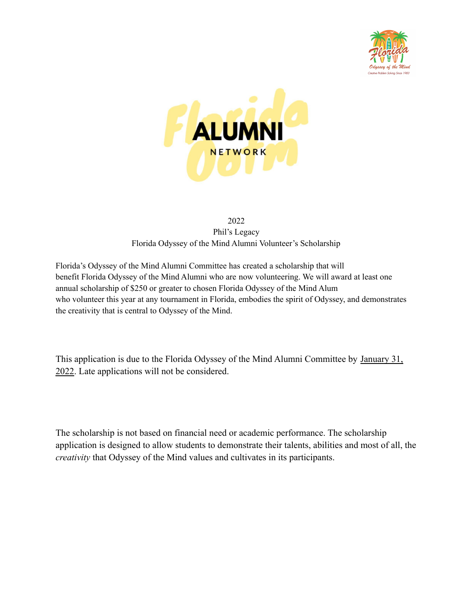



## 2022 Phil's Legacy Florida Odyssey of the Mind Alumni Volunteer's Scholarship

Florida's Odyssey of the Mind Alumni Committee has created a scholarship that will benefit Florida Odyssey of the Mind Alumni who are now volunteering. We will award at least one annual scholarship of \$250 or greater to chosen Florida Odyssey of the Mind Alum who volunteer this year at any tournament in Florida, embodies the spirit of Odyssey, and demonstrates the creativity that is central to Odyssey of the Mind.

This application is due to the Florida Odyssey of the Mind Alumni Committee by January 31, 2022. Late applications will not be considered.

The scholarship is not based on financial need or academic performance. The scholarship application is designed to allow students to demonstrate their talents, abilities and most of all, the *creativity* that Odyssey of the Mind values and cultivates in its participants.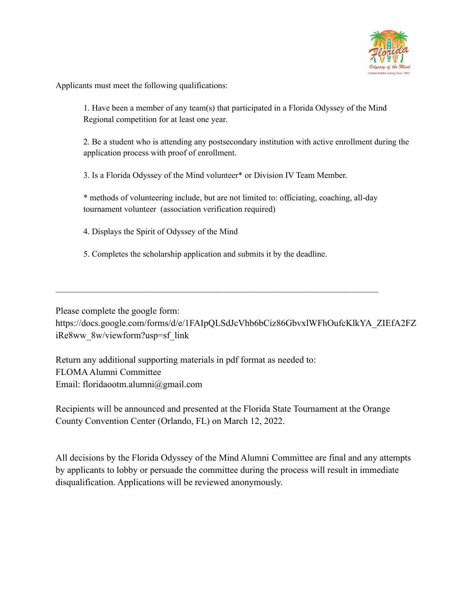

Applicants must meet the following qualifications:

1. Have been a member of any team(s) that participated in a Florida Odyssey of the Mind Regional competition for at least one year.

2. Be a student who is attending any postsecondary institution with active enrollment during the application process with proof of enrollment.

3. Is a Florida Odyssey of the Mind volunteer\* or Division IV Team Member.

\* methods of volunteering include, but are not limited to: officiating, coaching, all-day tournament volunteer (association verification required)

4. Displays the Spirit of Odyssey of the Mind

5. Completes the scholarship application and submits it by the deadline.

 $\mathcal{L}_\mathcal{L} = \{ \mathcal{L}_\mathcal{L} = \{ \mathcal{L}_\mathcal{L} = \{ \mathcal{L}_\mathcal{L} = \{ \mathcal{L}_\mathcal{L} = \{ \mathcal{L}_\mathcal{L} = \{ \mathcal{L}_\mathcal{L} = \{ \mathcal{L}_\mathcal{L} = \{ \mathcal{L}_\mathcal{L} = \{ \mathcal{L}_\mathcal{L} = \{ \mathcal{L}_\mathcal{L} = \{ \mathcal{L}_\mathcal{L} = \{ \mathcal{L}_\mathcal{L} = \{ \mathcal{L}_\mathcal{L} = \{ \mathcal{L}_\mathcal{$ 

Please complete the google form: https://docs.google.com/forms/d/e/1FAIpQLSdJcVhb6bCiz86GbvxlWFhOufcKlkYA\_ZIEfA2FZ iRe8ww\_8w/viewform?usp=sf\_link

Return any additional supporting materials in pdf format as needed to: FLOMAAlumni Committee Email: floridaootm.alumni@gmail.com

Recipients will be announced and presented at the Florida State Tournament at the Orange County Convention Center (Orlando, FL) on March 12, 2022.

All decisions by the Florida Odyssey of the Mind Alumni Committee are final and any attempts by applicants to lobby or persuade the committee during the process will result in immediate disqualification. Applications will be reviewed anonymously.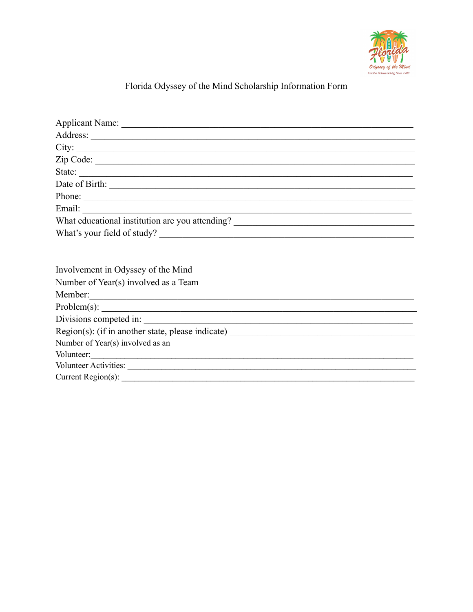

## Florida Odyssey of the Mind Scholarship Information Form

| City:                                                                             |  |  |  |  |  |
|-----------------------------------------------------------------------------------|--|--|--|--|--|
|                                                                                   |  |  |  |  |  |
| State:                                                                            |  |  |  |  |  |
|                                                                                   |  |  |  |  |  |
| Phone:                                                                            |  |  |  |  |  |
|                                                                                   |  |  |  |  |  |
| What educational institution are you attending? _________________________________ |  |  |  |  |  |
| What's your field of study?                                                       |  |  |  |  |  |
|                                                                                   |  |  |  |  |  |
|                                                                                   |  |  |  |  |  |
| Involvement in Odyssey of the Mind                                                |  |  |  |  |  |
| Number of Year(s) involved as a Team                                              |  |  |  |  |  |
|                                                                                   |  |  |  |  |  |
|                                                                                   |  |  |  |  |  |
| Divisions competed in:                                                            |  |  |  |  |  |
| Region(s): (if in another state, please indicate) _______________________________ |  |  |  |  |  |
| Number of Year(s) involved as an                                                  |  |  |  |  |  |
| Volunteer:                                                                        |  |  |  |  |  |
|                                                                                   |  |  |  |  |  |
|                                                                                   |  |  |  |  |  |
|                                                                                   |  |  |  |  |  |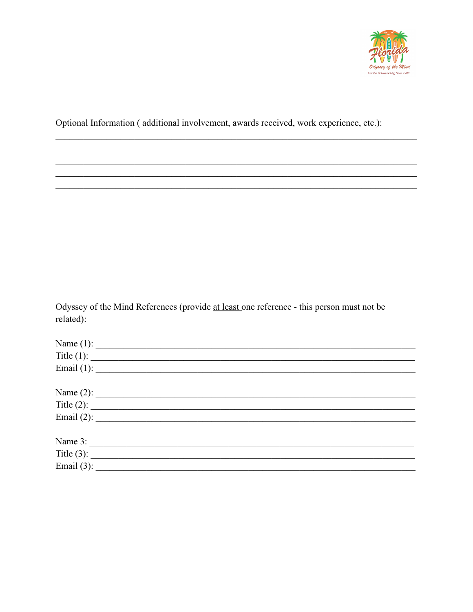

Optional Information (additional involvement, awards received, work experience, etc.):

Odyssey of the Mind References (provide at least one reference - this person must not be related):

|               | Name (1): $\qquad \qquad$  |  |  |
|---------------|----------------------------|--|--|
|               | Title (1): $\qquad \qquad$ |  |  |
|               | Email (1): $\qquad \qquad$ |  |  |
|               |                            |  |  |
|               |                            |  |  |
|               | Title (2): $\qquad \qquad$ |  |  |
|               | Email (2): $\qquad \qquad$ |  |  |
|               |                            |  |  |
|               |                            |  |  |
|               |                            |  |  |
| Email $(3)$ : |                            |  |  |